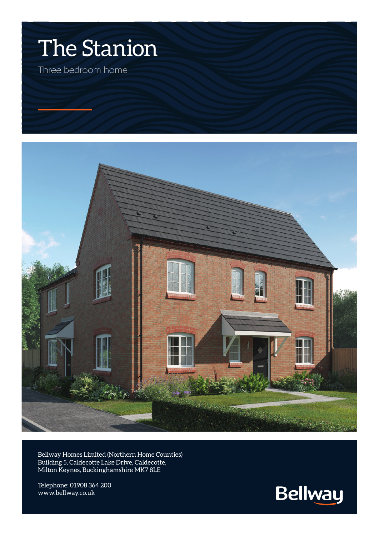



Bellway Homes Limited (Northern Home Counties) Building 5, Caldecotte Lake Drive, Caldecotte, Milton Keynes, Buckinghamshire MK7 8LE

Telephone: 01908 364 200 www.bellway.co.uk